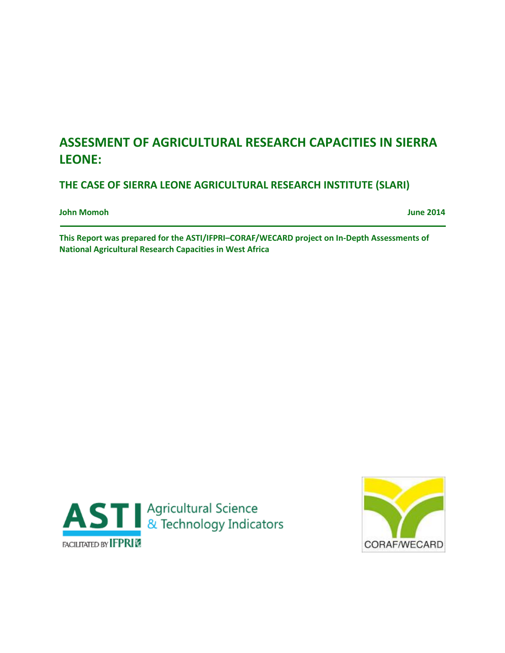# **ASSESMENT OF AGRICULTURAL RESEARCH CAPACITIES IN SIERRA LEONE:**

**THE CASE OF SIERRA LEONE AGRICULTURAL RESEARCH INSTITUTE (SLARI)**

**John Momoh June 2014**

**This Report was prepared for the ASTI/IFPRI–CORAF/WECARD project on In-Depth Assessments of National Agricultural Research Capacities in West Africa**



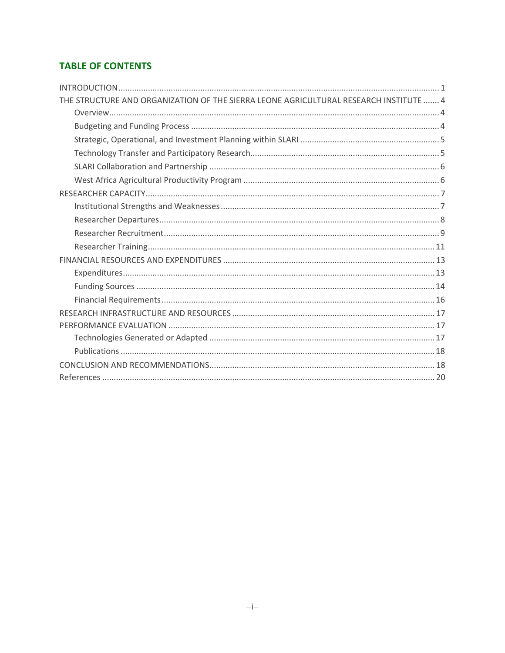# **TABLE OF CONTENTS**

| THE STRUCTURE AND ORGANIZATION OF THE SIERRA LEONE AGRICULTURAL RESEARCH INSTITUTE  4 |  |
|---------------------------------------------------------------------------------------|--|
|                                                                                       |  |
|                                                                                       |  |
|                                                                                       |  |
|                                                                                       |  |
|                                                                                       |  |
|                                                                                       |  |
|                                                                                       |  |
|                                                                                       |  |
|                                                                                       |  |
|                                                                                       |  |
|                                                                                       |  |
|                                                                                       |  |
|                                                                                       |  |
|                                                                                       |  |
|                                                                                       |  |
|                                                                                       |  |
|                                                                                       |  |
|                                                                                       |  |
|                                                                                       |  |
|                                                                                       |  |
|                                                                                       |  |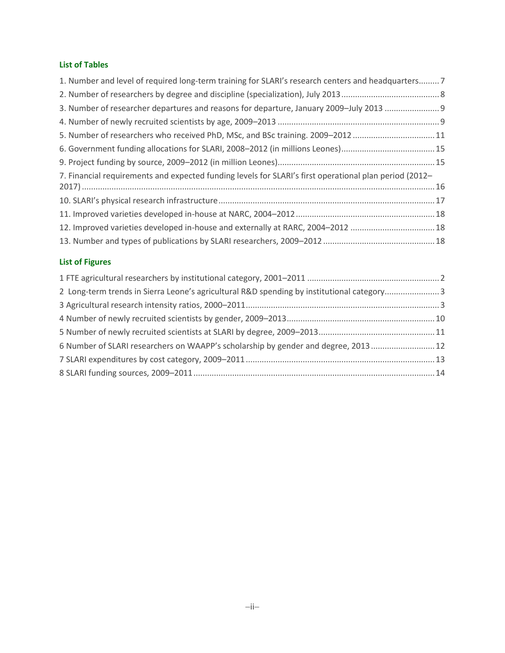### **List of Tables**

| 1. Number and level of required long-term training for SLARI's research centers and headquarters7      |  |
|--------------------------------------------------------------------------------------------------------|--|
|                                                                                                        |  |
| 3. Number of researcher departures and reasons for departure, January 2009-July 2013                   |  |
|                                                                                                        |  |
| 5. Number of researchers who received PhD, MSc, and BSc training. 2009-201211                          |  |
| 6. Government funding allocations for SLARI, 2008-2012 (in millions Leones)15                          |  |
|                                                                                                        |  |
| 7. Financial requirements and expected funding levels for SLARI's first operational plan period (2012– |  |
|                                                                                                        |  |
|                                                                                                        |  |
|                                                                                                        |  |
| 12. Improved varieties developed in-house and externally at RARC, 2004-2012 18                         |  |
|                                                                                                        |  |

### **List of Figures**

| 2 Long-term trends in Sierra Leone's agricultural R&D spending by institutional category3 |  |
|-------------------------------------------------------------------------------------------|--|
|                                                                                           |  |
|                                                                                           |  |
|                                                                                           |  |
| 6 Number of SLARI researchers on WAAPP's scholarship by gender and degree, 2013 12        |  |
|                                                                                           |  |
|                                                                                           |  |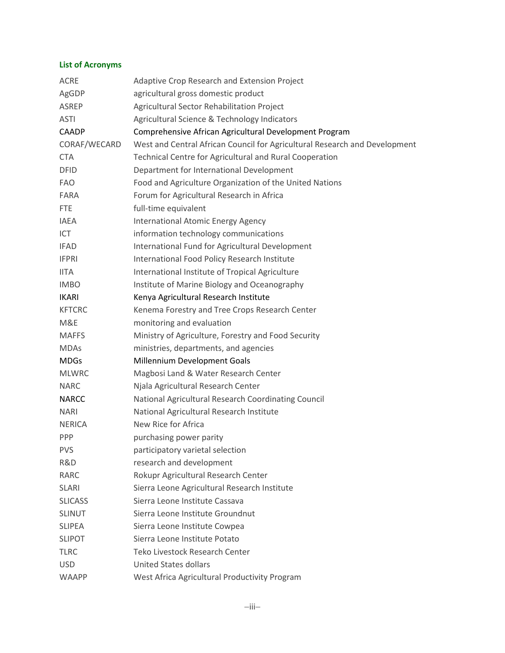### **List of Acronyms**

| <b>ACRE</b>    | Adaptive Crop Research and Extension Project                               |
|----------------|----------------------------------------------------------------------------|
| AgGDP          | agricultural gross domestic product                                        |
| ASREP          | Agricultural Sector Rehabilitation Project                                 |
| <b>ASTI</b>    | Agricultural Science & Technology Indicators                               |
| <b>CAADP</b>   | Comprehensive African Agricultural Development Program                     |
| CORAF/WECARD   | West and Central African Council for Agricultural Research and Development |
| <b>CTA</b>     | Technical Centre for Agricultural and Rural Cooperation                    |
| <b>DFID</b>    | Department for International Development                                   |
| <b>FAO</b>     | Food and Agriculture Organization of the United Nations                    |
| FARA           | Forum for Agricultural Research in Africa                                  |
| <b>FTE</b>     | full-time equivalent                                                       |
| <b>IAEA</b>    | International Atomic Energy Agency                                         |
| ICT            | information technology communications                                      |
| <b>IFAD</b>    | International Fund for Agricultural Development                            |
| <b>IFPRI</b>   | International Food Policy Research Institute                               |
| <b>IITA</b>    | International Institute of Tropical Agriculture                            |
| <b>IMBO</b>    | Institute of Marine Biology and Oceanography                               |
| <b>IKARI</b>   | Kenya Agricultural Research Institute                                      |
| <b>KFTCRC</b>  | Kenema Forestry and Tree Crops Research Center                             |
| M&E            | monitoring and evaluation                                                  |
| <b>MAFFS</b>   | Ministry of Agriculture, Forestry and Food Security                        |
| <b>MDAs</b>    | ministries, departments, and agencies                                      |
| <b>MDGs</b>    | Millennium Development Goals                                               |
| <b>MLWRC</b>   | Magbosi Land & Water Research Center                                       |
| <b>NARC</b>    | Njala Agricultural Research Center                                         |
| <b>NARCC</b>   | National Agricultural Research Coordinating Council                        |
| <b>NARI</b>    | National Agricultural Research Institute                                   |
| <b>NERICA</b>  | New Rice for Africa                                                        |
| PPP            | purchasing power parity                                                    |
| <b>PVS</b>     | participatory varietal selection                                           |
| R&D            | research and development                                                   |
| <b>RARC</b>    | Rokupr Agricultural Research Center                                        |
| <b>SLARI</b>   | Sierra Leone Agricultural Research Institute                               |
| <b>SLICASS</b> | Sierra Leone Institute Cassava                                             |
| <b>SLINUT</b>  | Sierra Leone Institute Groundnut                                           |
| <b>SLIPEA</b>  | Sierra Leone Institute Cowpea                                              |
| <b>SLIPOT</b>  | Sierra Leone Institute Potato                                              |
| <b>TLRC</b>    | Teko Livestock Research Center                                             |
| <b>USD</b>     | <b>United States dollars</b>                                               |
| <b>WAAPP</b>   | West Africa Agricultural Productivity Program                              |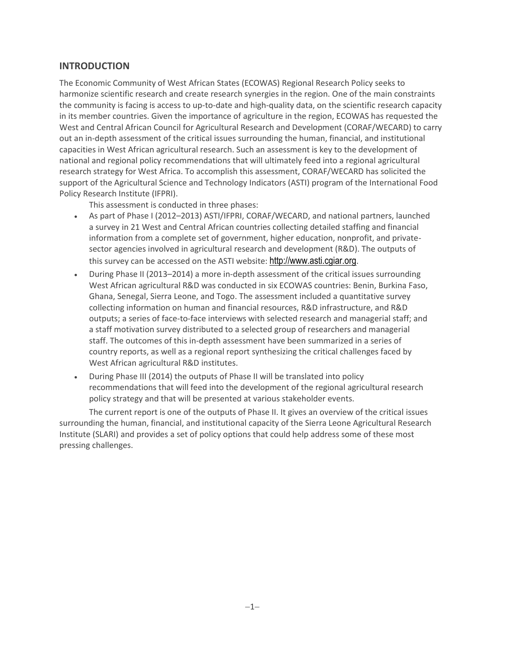# <span id="page-4-0"></span>**INTRODUCTION**

The Economic Community of West African States (ECOWAS) Regional Research Policy seeks to harmonize scientific research and create research synergies in the region. One of the main constraints the community is facing is access to up-to-date and high-quality data, on the scientific research capacity in its member countries. Given the importance of agriculture in the region, ECOWAS has requested the West and Central African Council for Agricultural Research and Development (CORAF/WECARD) to carry out an in-depth assessment of the critical issues surrounding the human, financial, and institutional capacities in West African agricultural research. Such an assessment is key to the development of national and regional policy recommendations that will ultimately feed into a regional agricultural research strategy for West Africa. To accomplish this assessment, CORAF/WECARD has solicited the support of the Agricultural Science and Technology Indicators (ASTI) program of the International Food Policy Research Institute (IFPRI).

This assessment is conducted in three phases:

- As part of Phase I (2012–2013) ASTI/IFPRI, CORAF/WECARD, and national partners, launched a survey in 21 West and Central African countries collecting detailed staffing and financial information from a complete set of government, higher education, nonprofit, and privatesector agencies involved in agricultural research and development (R&D). The outputs of this survey can be accessed on the ASTI website: [http://www.asti.cgiar.org](http://www.asti.cgiar.org/).
- During Phase II (2013–2014) a more in-depth assessment of the critical issues surrounding West African agricultural R&D was conducted in six ECOWAS countries: Benin, Burkina Faso, Ghana, Senegal, Sierra Leone, and Togo. The assessment included a quantitative survey collecting information on human and financial resources, R&D infrastructure, and R&D outputs; a series of face-to-face interviews with selected research and managerial staff; and a staff motivation survey distributed to a selected group of researchers and managerial staff. The outcomes of this in-depth assessment have been summarized in a series of country reports, as well as a regional report synthesizing the critical challenges faced by West African agricultural R&D institutes.
- During Phase III (2014) the outputs of Phase II will be translated into policy recommendations that will feed into the development of the regional agricultural research policy strategy and that will be presented at various stakeholder events.

The current report is one of the outputs of Phase II. It gives an overview of the critical issues surrounding the human, financial, and institutional capacity of the Sierra Leone Agricultural Research Institute (SLARI) and provides a set of policy options that could help address some of these most pressing challenges.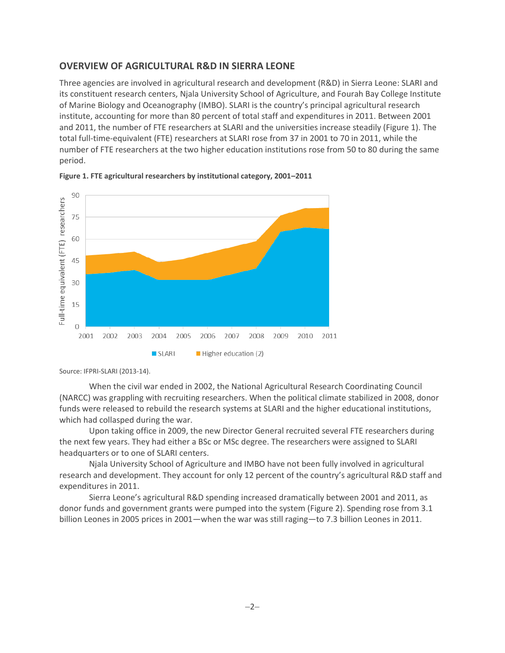## **OVERVIEW OF AGRICULTURAL R&D IN SIERRA LEONE**

Three agencies are involved in agricultural research and development (R&D) in Sierra Leone: SLARI and its constituent research centers, Njala University School of Agriculture, and Fourah Bay College Institute of Marine Biology and Oceanography (IMBO). SLARI is the country's principal agricultural research institute, accounting for more than 80 percent of total staff and expenditures in 2011. Between 2001 and 2011, the number of FTE researchers at SLARI and the universities increase steadily (Figure 1). The total full-time-equivalent (FTE) researchers at SLARI rose from 37 in 2001 to 70 in 2011, while the number of FTE researchers at the two higher education institutions rose from 50 to 80 during the same period.



<span id="page-5-0"></span>

Source: IFPRI-SLARI (2013-14).

When the civil war ended in 2002, the National Agricultural Research Coordinating Council (NARCC) was grappling with recruiting researchers. When the political climate stabilized in 2008, donor funds were released to rebuild the research systems at SLARI and the higher educational institutions, which had collasped during the war.

Upon taking office in 2009, the new Director General recruited several FTE researchers during the next few years. They had either a BSc or MSc degree. The researchers were assigned to SLARI headquarters or to one of SLARI centers.

Njala University School of Agriculture and IMBO have not been fully involved in agricultural research and development. They account for only 12 percent of the country's agricultural R&D staff and expenditures in 2011.

Sierra Leone's agricultural R&D spending increased dramatically between 2001 and 2011, as donor funds and government grants were pumped into the system (Figure 2). Spending rose from 3.1 billion Leones in 2005 prices in 2001—when the war was still raging—to 7.3 billion Leones in 2011.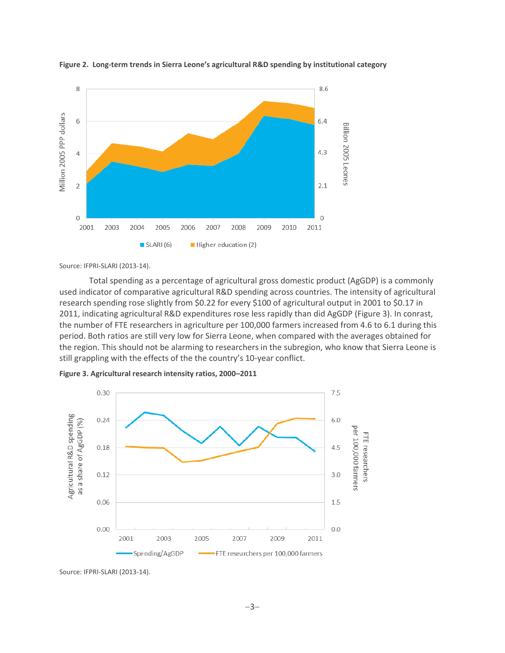

<span id="page-6-1"></span>**Figure 2. Long-term trends in Sierra Leone's agricultural R&D spending by institutional category**

Source: IFPRI-SLARI (2013-14).

Total spending as a percentage of agricultural gross domestic product (AgGDP) is a commonly used indicator of comparative agricultural R&D spending across countries. The intensity of agricultural research spending rose slightly from \$0.22 for every \$100 of agricultural output in 2001 to \$0.17 in 2011, indicating agricultural R&D expenditures rose less rapidly than did AgGDP (Figure 3). In conrast, the number of FTE researchers in agriculture per 100,000 farmers increased from 4.6 to 6.1 during this period. Both ratios are still very low for Sierra Leone, when compared with the averages obtained for the region. This should not be alarming to researchers in the subregion, who know that Sierra Leone is still grappling with the effects of the the country's 10-year conflict.

<span id="page-6-2"></span>



<span id="page-6-0"></span>Source: IFPRI-SLARI (2013-14).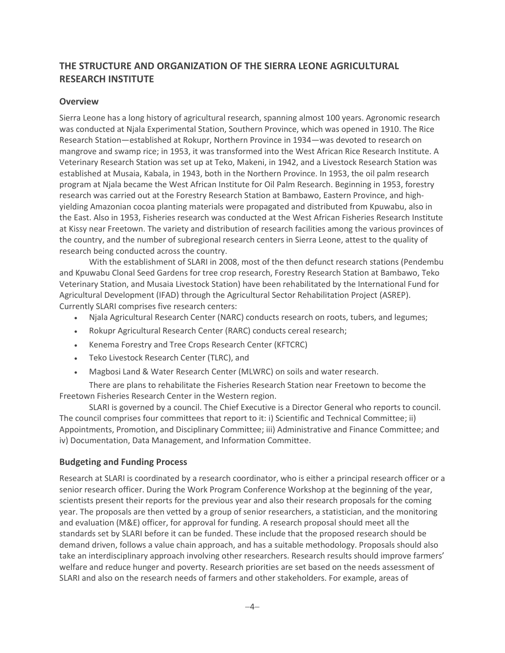# **THE STRUCTURE AND ORGANIZATION OF THE SIERRA LEONE AGRICULTURAL RESEARCH INSTITUTE**

### <span id="page-7-0"></span>**Overview**

Sierra Leone has a long history of agricultural research, spanning almost 100 years. Agronomic research was conducted at Njala Experimental Station, Southern Province, which was opened in 1910. The Rice Research Station—established at Rokupr, Northern Province in 1934—was devoted to research on mangrove and swamp rice; in 1953, it was transformed into the West African Rice Research Institute. A Veterinary Research Station was set up at Teko, Makeni, in 1942, and a Livestock Research Station was established at Musaia, Kabala, in 1943, both in the Northern Province. In 1953, the oil palm research program at Njala became the West African Institute for Oil Palm Research. Beginning in 1953, forestry research was carried out at the Forestry Research Station at Bambawo, Eastern Province, and highyielding Amazonian cocoa planting materials were propagated and distributed from Kpuwabu, also in the East. Also in 1953, Fisheries research was conducted at the West African Fisheries Research Institute at Kissy near Freetown. The variety and distribution of research facilities among the various provinces of the country, and the number of subregional research centers in Sierra Leone, attest to the quality of research being conducted across the country.

With the establishment of SLARI in 2008, most of the then defunct research stations (Pendembu and Kpuwabu Clonal Seed Gardens for tree crop research, Forestry Research Station at Bambawo, Teko Veterinary Station, and Musaia Livestock Station) have been rehabilitated by the International Fund for Agricultural Development (IFAD) through the Agricultural Sector Rehabilitation Project (ASREP). Currently SLARI comprises five research centers:

- Njala Agricultural Research Center (NARC) conducts research on roots, tubers, and legumes;
- Rokupr Agricultural Research Center (RARC) conducts cereal research;
- Kenema Forestry and Tree Crops Research Center (KFTCRC)
- Teko Livestock Research Center (TLRC), and
- Magbosi Land & Water Research Center (MLWRC) on soils and water research.

There are plans to rehabilitate the Fisheries Research Station near Freetown to become the Freetown Fisheries Research Center in the Western region.

SLARI is governed by a council. The Chief Executive is a Director General who reports to council. The council comprises four committees that report to it: i) Scientific and Technical Committee; ii) Appointments, Promotion, and Disciplinary Committee; iii) Administrative and Finance Committee; and iv) Documentation, Data Management, and Information Committee.

### <span id="page-7-1"></span>**Budgeting and Funding Process**

Research at SLARI is coordinated by a research coordinator, who is either a principal research officer or a senior research officer. During the Work Program Conference Workshop at the beginning of the year, scientists present their reports for the previous year and also their research proposals for the coming year. The proposals are then vetted by a group of senior researchers, a statistician, and the monitoring and evaluation (M&E) officer, for approval for funding. A research proposal should meet all the standards set by SLARI before it can be funded. These include that the proposed research should be demand driven, follows a value chain approach, and has a suitable methodology. Proposals should also take an interdisciplinary approach involving other researchers. Research results should improve farmers' welfare and reduce hunger and poverty. Research priorities are set based on the needs assessment of SLARI and also on the research needs of farmers and other stakeholders. For example, areas of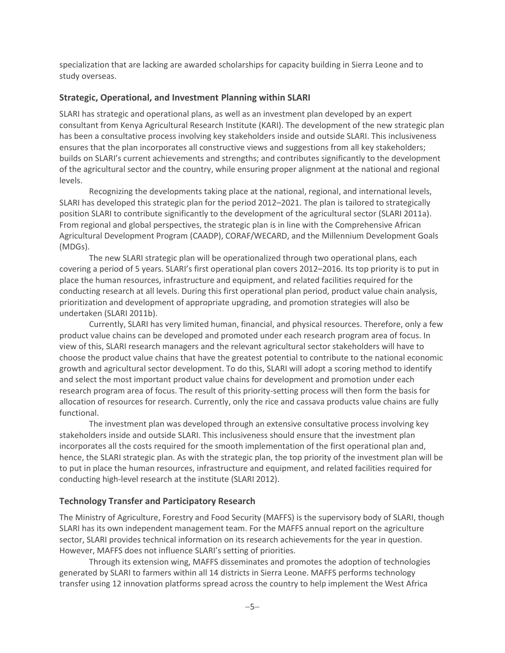specialization that are lacking are awarded scholarships for capacity building in Sierra Leone and to study overseas.

### <span id="page-8-0"></span>**Strategic, Operational, and Investment Planning within SLARI**

SLARI has strategic and operational plans, as well as an investment plan developed by an expert consultant from Kenya Agricultural Research Institute (KARI). The development of the new strategic plan has been a consultative process involving key stakeholders inside and outside SLARI. This inclusiveness ensures that the plan incorporates all constructive views and suggestions from all key stakeholders; builds on SLARI's current achievements and strengths; and contributes significantly to the development of the agricultural sector and the country, while ensuring proper alignment at the national and regional levels.

Recognizing the developments taking place at the national, regional, and international levels, SLARI has developed this strategic plan for the period 2012–2021. The plan is tailored to strategically position SLARI to contribute significantly to the development of the agricultural sector (SLARI 2011a). From regional and global perspectives, the strategic plan is in line with the Comprehensive African Agricultural Development Program (CAADP), CORAF/WECARD, and the Millennium Development Goals (MDGs).

The new SLARI strategic plan will be operationalized through two operational plans, each covering a period of 5 years. SLARI's first operational plan covers 2012–2016. Its top priority is to put in place the human resources, infrastructure and equipment, and related facilities required for the conducting research at all levels. During this first operational plan period, product value chain analysis, prioritization and development of appropriate upgrading, and promotion strategies will also be undertaken (SLARI 2011b).

Currently, SLARI has very limited human, financial, and physical resources. Therefore, only a few product value chains can be developed and promoted under each research program area of focus. In view of this, SLARI research managers and the relevant agricultural sector stakeholders will have to choose the product value chains that have the greatest potential to contribute to the national economic growth and agricultural sector development. To do this, SLARI will adopt a scoring method to identify and select the most important product value chains for development and promotion under each research program area of focus. The result of this priority-setting process will then form the basis for allocation of resources for research. Currently, only the rice and cassava products value chains are fully functional.

The investment plan was developed through an extensive consultative process involving key stakeholders inside and outside SLARI. This inclusiveness should ensure that the investment plan incorporates all the costs required for the smooth implementation of the first operational plan and, hence, the SLARI strategic plan. As with the strategic plan, the top priority of the investment plan will be to put in place the human resources, infrastructure and equipment, and related facilities required for conducting high-level research at the institute (SLARI 2012).

### <span id="page-8-1"></span>**Technology Transfer and Participatory Research**

The Ministry of Agriculture, Forestry and Food Security (MAFFS) is the supervisory body of SLARI, though SLARI has its own independent management team. For the MAFFS annual report on the agriculture sector, SLARI provides technical information on its research achievements for the year in question. However, MAFFS does not influence SLARI's setting of priorities.

Through its extension wing, MAFFS disseminates and promotes the adoption of technologies generated by SLARI to farmers within all 14 districts in Sierra Leone. MAFFS performs technology transfer using 12 innovation platforms spread across the country to help implement the West Africa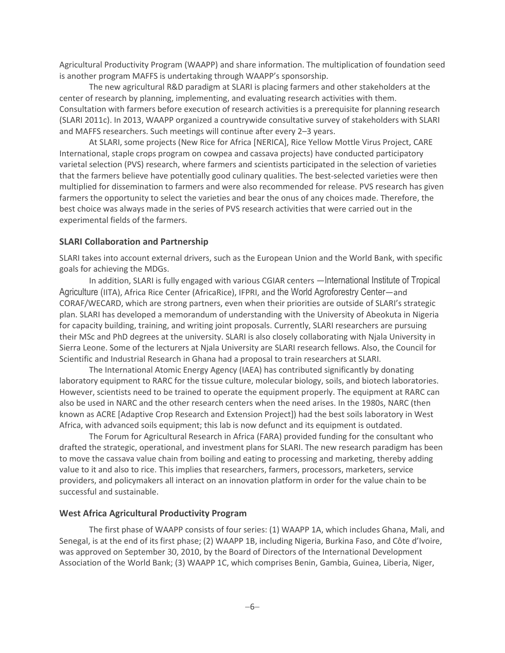Agricultural Productivity Program (WAAPP) and share information. The multiplication of foundation seed is another program MAFFS is undertaking through WAAPP's sponsorship.

The new agricultural R&D paradigm at SLARI is placing farmers and other stakeholders at the center of research by planning, implementing, and evaluating research activities with them. Consultation with farmers before execution of research activities is a prerequisite for planning research (SLARI 2011c). In 2013, WAAPP organized a countrywide consultative survey of stakeholders with SLARI and MAFFS researchers. Such meetings will continue after every 2–3 years.

At SLARI, some projects (New Rice for Africa [NERICA], Rice Yellow Mottle Virus Project, CARE International, staple crops program on cowpea and cassava projects) have conducted participatory varietal selection (PVS) research, where farmers and scientists participated in the selection of varieties that the farmers believe have potentially good culinary qualities. The best-selected varieties were then multiplied for dissemination to farmers and were also recommended for release. PVS research has given farmers the opportunity to select the varieties and bear the onus of any choices made. Therefore, the best choice was always made in the series of PVS research activities that were carried out in the experimental fields of the farmers.

### <span id="page-9-0"></span>**SLARI Collaboration and Partnership**

SLARI takes into account external drivers, such as the European Union and the World Bank, with specific goals for achieving the MDGs.

In addition, SLARI is fully engaged with various CGIAR centers —International Institute of Tropical Agriculture (IITA), Africa Rice Center (AfricaRice), IFPRI, and the World Agroforestry Center—and CORAF/WECARD, which are strong partners, even when their priorities are outside of SLARI's strategic plan. SLARI has developed a memorandum of understanding with the University of Abeokuta in Nigeria for capacity building, training, and writing joint proposals. Currently, SLARI researchers are pursuing their MSc and PhD degrees at the university. SLARI is also closely collaborating with Njala University in Sierra Leone. Some of the lecturers at Njala University are SLARI research fellows. Also, the Council for Scientific and Industrial Research in Ghana had a proposal to train researchers at SLARI.

The International Atomic Energy Agency (IAEA) has contributed significantly by donating laboratory equipment to RARC for the tissue culture, molecular biology, soils, and biotech laboratories. However, scientists need to be trained to operate the equipment properly. The equipment at RARC can also be used in NARC and the other research centers when the need arises. In the 1980s, NARC (then known as ACRE [Adaptive Crop Research and Extension Project]) had the best soils laboratory in West Africa, with advanced soils equipment; this lab is now defunct and its equipment is outdated.

The Forum for Agricultural Research in Africa (FARA) provided funding for the consultant who drafted the strategic, operational, and investment plans for SLARI. The new research paradigm has been to move the cassava value chain from boiling and eating to processing and marketing, thereby adding value to it and also to rice. This implies that researchers, farmers, processors, marketers, service providers, and policymakers all interact on an innovation platform in order for the value chain to be successful and sustainable.

### <span id="page-9-1"></span>**West Africa Agricultural Productivity Program**

The first phase of WAAPP consists of four series: (1) WAAPP 1A, which includes Ghana, Mali, and Senegal, is at the end of its first phase; (2) WAAPP 1B, including Nigeria, Burkina Faso, and Côte d'Ivoire, was approved on September 30, 2010, by the Board of Directors of the International Development Association of the World Bank; (3) WAAPP 1C, which comprises Benin, Gambia, Guinea, Liberia, Niger,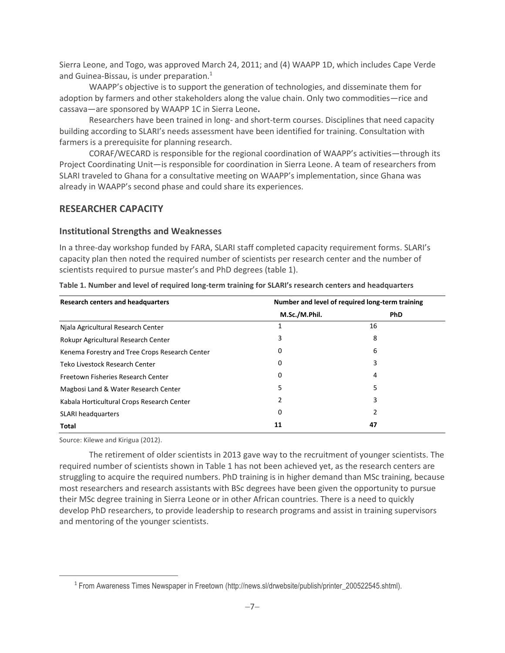Sierra Leone, and Togo, was approved March 24, 2011; and (4) WAAPP 1D, which includes Cape Verde and Guinea-Bissau, is under preparation.<sup>1</sup>

WAAPP's objective is to support the generation of technologies, and disseminate them for adoption by farmers and other stakeholders along the value chain. Only two commodities—rice and cassava—are sponsored by WAAPP 1C in Sierra Leone**.**

Researchers have been trained in long- and short-term courses. Disciplines that need capacity building according to SLARI's needs assessment have been identified for training. Consultation with farmers is a prerequisite for planning research.

CORAF/WECARD is responsible for the regional coordination of WAAPP's activities—through its Project Coordinating Unit—is responsible for coordination in Sierra Leone. A team of researchers from SLARI traveled to Ghana for a consultative meeting on WAAPP's implementation, since Ghana was already in WAAPP's second phase and could share its experiences.

### <span id="page-10-0"></span>**RESEARCHER CAPACITY**

### <span id="page-10-1"></span>**Institutional Strengths and Weaknesses**

In a three-day workshop funded by FARA, SLARI staff completed capacity requirement forms. SLARI's capacity plan then noted the required number of scientists per research center and the number of scientists required to pursue master's and PhD degrees (table 1).

| <b>Research centers and headquarters</b>       | Number and level of required long-term training |            |  |  |
|------------------------------------------------|-------------------------------------------------|------------|--|--|
|                                                | M.Sc./M.Phil.                                   | <b>PhD</b> |  |  |
| Njala Agricultural Research Center             |                                                 | 16         |  |  |
| Rokupr Agricultural Research Center            | 3                                               | 8          |  |  |
| Kenema Forestry and Tree Crops Research Center | 0                                               | 6          |  |  |
| Teko Livestock Research Center                 | 0                                               | 3          |  |  |
| Freetown Fisheries Research Center             | 0                                               | 4          |  |  |
| Magbosi Land & Water Research Center           | 5                                               | 5          |  |  |
| Kabala Horticultural Crops Research Center     | 2                                               | 3          |  |  |
| SLARI headquarters                             | 0                                               | 2          |  |  |
| <b>Total</b>                                   | 11                                              | 47         |  |  |

<span id="page-10-2"></span>**Table 1. Number and level of required long-term training for SLARI's research centers and headquarters**

Source: Kilewe and Kirigua (2012).

 $\overline{a}$ 

The retirement of older scientists in 2013 gave way to the recruitment of younger scientists. The required number of scientists shown in Table 1 has not been achieved yet, as the research centers are struggling to acquire the required numbers. PhD training is in higher demand than MSc training, because most researchers and research assistants with BSc degrees have been given the opportunity to pursue their MSc degree training in Sierra Leone or in other African countries. There is a need to quickly develop PhD researchers, to provide leadership to research programs and assist in training supervisors and mentoring of the younger scientists.

<sup>&</sup>lt;sup>1</sup> From Awareness Times Newspaper in Freetown (http://news.sl/drwebsite/publish/printer\_200522545.shtml).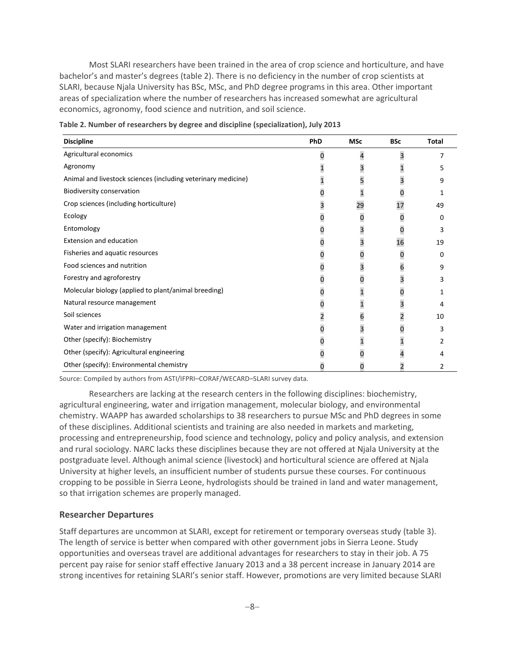Most SLARI researchers have been trained in the area of crop science and horticulture, and have bachelor's and master's degrees (table 2). There is no deficiency in the number of crop scientists at SLARI, because Njala University has BSc, MSc, and PhD degree programs in this area. Other important areas of specialization where the number of researchers has increased somewhat are agricultural economics, agronomy, food science and nutrition, and soil science.

| <b>Discipline</b>                                             | PhD            | <b>MSc</b>   | <b>BSc</b>              | <b>Total</b> |
|---------------------------------------------------------------|----------------|--------------|-------------------------|--------------|
| Agricultural economics                                        | $\overline{0}$ | 4            | 3                       | 7            |
| Agronomy                                                      |                | 3            | 1                       | 5            |
| Animal and livestock sciences (including veterinary medicine) | 1              | 5            | 3                       | 9            |
| Biodiversity conservation                                     | 0              | 1            | 0                       |              |
| Crop sciences (including horticulture)                        | 3              | 29           | 17                      | 49           |
| Ecology                                                       | 0              | 0            | 0                       | 0            |
| Entomology                                                    | 0              | 3            | 0                       | 3            |
| <b>Extension and education</b>                                | 0              | 3            | 16                      | 19           |
| Fisheries and aquatic resources                               | 0              | 0            | 0                       | 0            |
| Food sciences and nutrition                                   | 0              | 3            | 6                       | 9            |
| Forestry and agroforestry                                     | 0              | 0            | 3                       |              |
| Molecular biology (applied to plant/animal breeding)          | 0              | $\mathbf{1}$ | $\boldsymbol{0}$        |              |
| Natural resource management                                   | 0              | $\mathbf{1}$ | 3                       |              |
| Soil sciences                                                 | 2              | 6            | $\overline{\mathbf{c}}$ | 10           |
| Water and irrigation management                               | 0              | 3            | 0                       | 3            |
| Other (specify): Biochemistry                                 | 0              | 1            | 1                       | 2            |
| Other (specify): Agricultural engineering                     | 0              | 0            | 4                       |              |
| Other (specify): Environmental chemistry                      |                |              |                         | 2            |

<span id="page-11-1"></span>**Table 2. Number of researchers by degree and discipline (specialization), July 2013**

Source: Compiled by authors from ASTI/IFPRI–CORAF/WECARD–SLARI survey data.

Researchers are lacking at the research centers in the following disciplines: biochemistry, agricultural engineering, water and irrigation management, molecular biology, and environmental chemistry. WAAPP has awarded scholarships to 38 researchers to pursue MSc and PhD degrees in some of these disciplines. Additional scientists and training are also needed in markets and marketing, processing and entrepreneurship, food science and technology, policy and policy analysis, and extension and rural sociology. NARC lacks these disciplines because they are not offered at Njala University at the postgraduate level. Although animal science (livestock) and horticultural science are offered at Njala University at higher levels, an insufficient number of students pursue these courses. For continuous cropping to be possible in Sierra Leone, hydrologists should be trained in land and water management, so that irrigation schemes are properly managed.

### <span id="page-11-0"></span>**Researcher Departures**

Staff departures are uncommon at SLARI, except for retirement or temporary overseas study (table 3). The length of service is better when compared with other government jobs in Sierra Leone. Study opportunities and overseas travel are additional advantages for researchers to stay in their job. A 75 percent pay raise for senior staff effective January 2013 and a 38 percent increase in January 2014 are strong incentives for retaining SLARI's senior staff. However, promotions are very limited because SLARI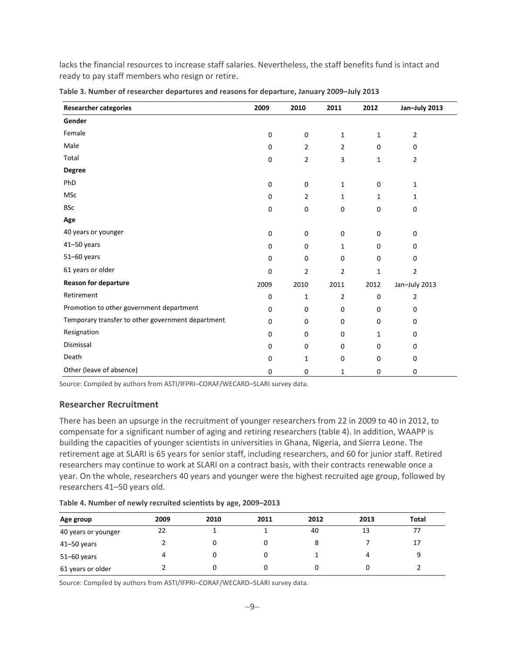lacks the financial resources to increase staff salaries. Nevertheless, the staff benefits fund is intact and ready to pay staff members who resign or retire.

| <b>Researcher categories</b>                      | 2009        | 2010           | 2011           | 2012         | Jan-July 2013  |
|---------------------------------------------------|-------------|----------------|----------------|--------------|----------------|
| Gender                                            |             |                |                |              |                |
| Female                                            | $\mathbf 0$ | $\pmb{0}$      | $\mathbf{1}$   | $\mathbf{1}$ | 2              |
| Male                                              | 0           | $\overline{2}$ | $\overline{2}$ | $\mathbf 0$  | 0              |
| Total                                             | $\mathbf 0$ | $\overline{2}$ | 3              | 1            | $\overline{2}$ |
| <b>Degree</b>                                     |             |                |                |              |                |
| PhD                                               | 0           | 0              | $\mathbf{1}$   | $\mathbf 0$  | 1              |
| <b>MSc</b>                                        | $\pmb{0}$   | $\overline{2}$ | $\mathbf{1}$   | $\mathbf{1}$ | 1              |
| <b>BSc</b>                                        | 0           | $\pmb{0}$      | $\mathbf 0$    | 0            | 0              |
| Age                                               |             |                |                |              |                |
| 40 years or younger                               | $\pmb{0}$   | $\pmb{0}$      | $\mathbf 0$    | $\mathbf 0$  | 0              |
| $41 - 50$ years                                   | $\mathbf 0$ | $\mathbf 0$    | $\mathbf{1}$   | $\mathbf 0$  | 0              |
| 51-60 years                                       | $\mathbf 0$ | $\pmb{0}$      | $\mathbf 0$    | 0            | 0              |
| 61 years or older                                 | $\mathbf 0$ | $\overline{2}$ | $\overline{2}$ | $\mathbf{1}$ | $\overline{2}$ |
| <b>Reason for departure</b>                       | 2009        | 2010           | 2011           | 2012         | Jan-July 2013  |
| Retirement                                        | 0           | $\mathbf{1}$   | $\overline{2}$ | $\mathbf 0$  | $\overline{2}$ |
| Promotion to other government department          | $\mathbf 0$ | $\pmb{0}$      | $\mathbf 0$    | 0            | 0              |
| Temporary transfer to other government department | $\mathbf 0$ | $\mathbf 0$    | 0              | 0            | 0              |
| Resignation                                       | $\mathbf 0$ | $\mathbf 0$    | $\mathbf 0$    | $\mathbf{1}$ | 0              |
| Dismissal                                         | 0           | 0              | 0              | 0            | 0              |
| Death                                             | 0           | $\mathbf{1}$   | $\mathbf 0$    | $\pmb{0}$    | 0              |
| Other (leave of absence)                          | 0           | $\mathbf 0$    | 1              | 0            | 0              |

<span id="page-12-1"></span>**Table 3. Number of researcher departures and reasons for departure, January 2009–July 2013**

<span id="page-12-0"></span>Source: Compiled by authors from ASTI/IFPRI–CORAF/WECARD–SLARI survey data.

#### **Researcher Recruitment**

There has been an upsurge in the recruitment of younger researchers from 22 in 2009 to 40 in 2012, to compensate for a significant number of aging and retiring researchers (table 4). In addition, WAAPP is building the capacities of younger scientists in universities in Ghana, Nigeria, and Sierra Leone. The retirement age at SLARI is 65 years for senior staff, including researchers, and 60 for junior staff. Retired researchers may continue to work at SLARI on a contract basis, with their contracts renewable once a year. On the whole, researchers 40 years and younger were the highest recruited age group, followed by researchers 41–50 years old.

| Age group           | 2009 | 2010 | 2011 | 2012 | 2013 | <b>Total</b> |
|---------------------|------|------|------|------|------|--------------|
| 40 years or younger | 22   |      |      | 40   | 13   |              |
| $41 - 50$ years     |      |      |      |      |      | 17           |
| $51 - 60$ years     |      |      |      |      |      |              |
| 61 years or older   |      |      |      |      |      |              |

<span id="page-12-2"></span>**Table 4. Number of newly recruited scientists by age, 2009–2013**

Source: Compiled by authors from ASTI/IFPRI–CORAF/WECARD–SLARI survey data.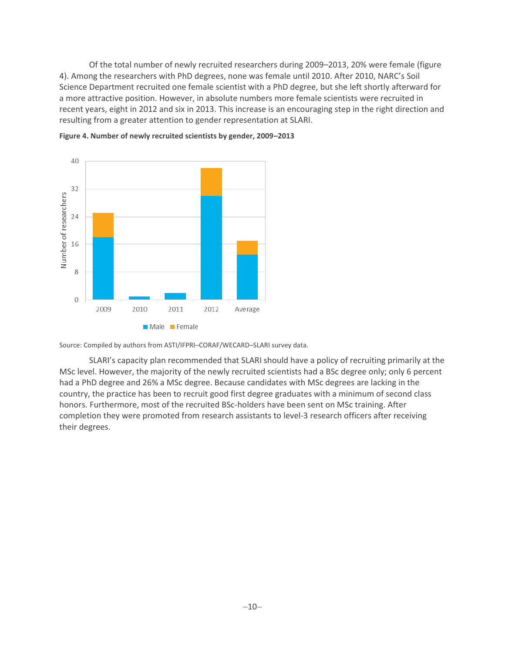Of the total number of newly recruited researchers during 2009–2013, 20% were female (figure 4). Among the researchers with PhD degrees, none was female until 2010. After 2010, NARC's Soil Science Department recruited one female scientist with a PhD degree, but she left shortly afterward for a more attractive position. However, in absolute numbers more female scientists were recruited in recent years, eight in 2012 and six in 2013. This increase is an encouraging step in the right direction and resulting from a greater attention to gender representation at SLARI.



<span id="page-13-0"></span>

Source: Compiled by authors from ASTI/IFPRI–CORAF/WECARD–SLARI survey data.

SLARI's capacity plan recommended that SLARI should have a policy of recruiting primarily at the MSc level. However, the majority of the newly recruited scientists had a BSc degree only; only 6 percent had a PhD degree and 26% a MSc degree. Because candidates with MSc degrees are lacking in the country, the practice has been to recruit good first degree graduates with a minimum of second class honors. Furthermore, most of the recruited BSc-holders have been sent on MSc training. After completion they were promoted from research assistants to level-3 research officers after receiving their degrees.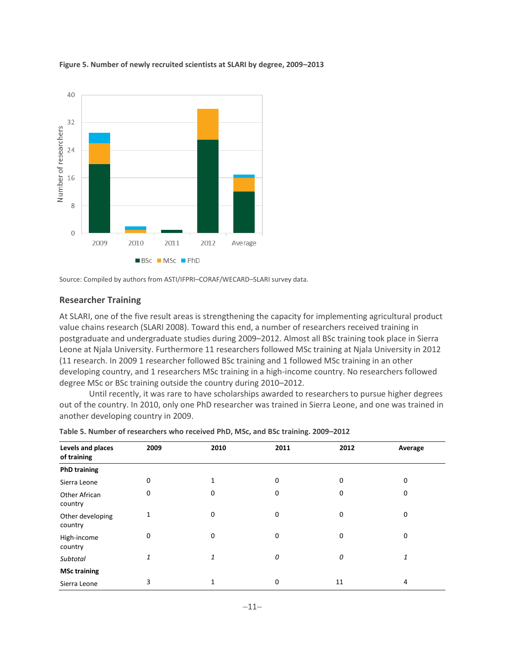<span id="page-14-2"></span>



<span id="page-14-0"></span>Source: Compiled by authors from ASTI/IFPRI–CORAF/WECARD–SLARI survey data.

### **Researcher Training**

At SLARI, one of the five result areas is strengthening the capacity for implementing agricultural product value chains research (SLARI 2008). Toward this end, a number of researchers received training in postgraduate and undergraduate studies during 2009–2012. Almost all BSc training took place in Sierra Leone at Njala University. Furthermore 11 researchers followed MSc training at Njala University in 2012 (11 research. In 2009 1 researcher followed BSc training and 1 followed MSc training in an other developing country, and 1 researchers MSc training in a high-income country. No researchers followed degree MSc or BSc training outside the country during 2010–2012.

Until recently, it was rare to have scholarships awarded to researchers to pursue higher degrees out of the country. In 2010, only one PhD researcher was trained in Sierra Leone, and one was trained in another developing country in 2009.

| Levels and places<br>of training | 2009        | 2010        | 2011 | 2012 | Average     |
|----------------------------------|-------------|-------------|------|------|-------------|
| <b>PhD training</b>              |             |             |      |      |             |
| Sierra Leone                     | $\mathbf 0$ | 1           | 0    | 0    | $\mathbf 0$ |
| Other African<br>country         | 0           | 0           | 0    | 0    | 0           |
| Other developing<br>country      | 1           | $\mathbf 0$ | 0    | 0    | 0           |
| High-income<br>country           | $\Omega$    | $\mathbf 0$ | 0    | 0    | 0           |
| Subtotal                         | 1           | 1           | 0    | 0    | 1           |
| <b>MSc training</b>              |             |             |      |      |             |
| Sierra Leone                     | 3           | 1           | 0    | 11   | 4           |

<span id="page-14-1"></span>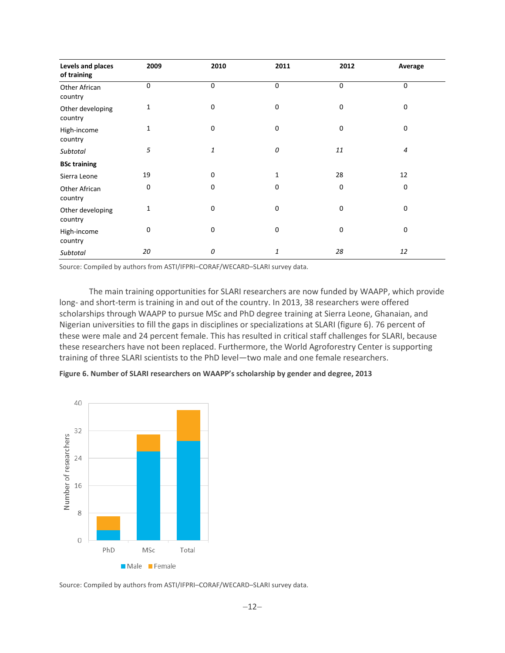| Levels and places<br>of training | 2009        | 2010        | 2011        | 2012        | Average     |
|----------------------------------|-------------|-------------|-------------|-------------|-------------|
| Other African<br>country         | $\mathbf 0$ | $\mathbf 0$ | 0           | $\mathbf 0$ | $\mathbf 0$ |
| Other developing<br>country      | 1           | 0           | 0           | $\mathbf 0$ | $\mathbf 0$ |
| High-income<br>country           | 1           | $\mathbf 0$ | 0           | $\mathbf 0$ | $\mathbf 0$ |
| Subtotal                         | 5           | 1           | 0           | 11          | 4           |
| <b>BSc training</b>              |             |             |             |             |             |
| Sierra Leone                     | 19          | $\mathbf 0$ | 1           | 28          | 12          |
| Other African<br>country         | $\mathbf 0$ | $\mathbf 0$ | $\mathbf 0$ | 0           | $\mathbf 0$ |
| Other developing<br>country      | 1           | $\mathbf 0$ | 0           | 0           | $\mathbf 0$ |
| High-income<br>country           | $\mathbf 0$ | $\mathbf 0$ | 0           | $\mathbf 0$ | $\mathbf 0$ |
| Subtotal                         | 20          | 0           | 1           | 28          | 12          |

Source: Compiled by authors from ASTI/IFPRI–CORAF/WECARD–SLARI survey data.

The main training opportunities for SLARI researchers are now funded by WAAPP, which provide long- and short-term is training in and out of the country. In 2013, 38 researchers were offered scholarships through WAAPP to pursue MSc and PhD degree training at Sierra Leone, Ghanaian, and Nigerian universities to fill the gaps in disciplines or specializations at SLARI (figure 6). 76 percent of these were male and 24 percent female. This has resulted in critical staff challenges for SLARI, because these researchers have not been replaced. Furthermore, the World Agroforestry Center is supporting training of three SLARI scientists to the PhD level—two male and one female researchers.

<span id="page-15-0"></span>**Figure 6. Number of SLARI researchers on WAAPP's scholarship by gender and degree, 2013**



Source: Compiled by authors from ASTI/IFPRI–CORAF/WECARD–SLARI survey data.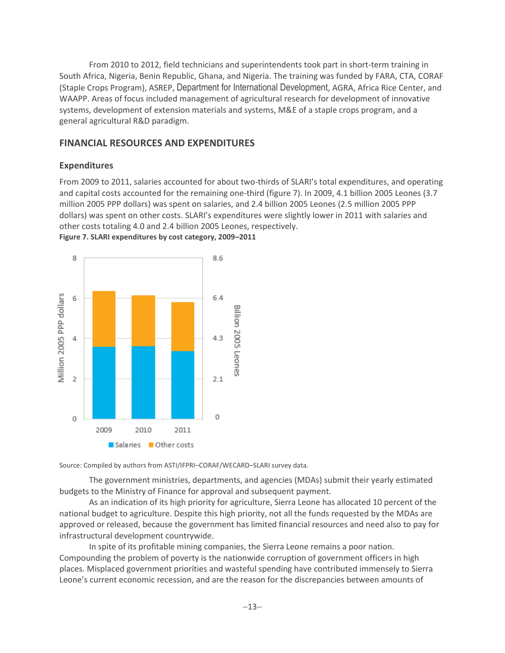From 2010 to 2012, field technicians and superintendents took part in short-term training in South Africa, Nigeria, Benin Republic, Ghana, and Nigeria. The training was funded by FARA, CTA, CORAF (Staple Crops Program), ASREP, Department for International Development, AGRA, Africa Rice Center, and WAAPP. Areas of focus included management of agricultural research for development of innovative systems, development of extension materials and systems, M&E of a staple crops program, and a general agricultural R&D paradigm.

### <span id="page-16-0"></span>**FINANCIAL RESOURCES AND EXPENDITURES**

### <span id="page-16-1"></span>**Expenditures**

From 2009 to 2011, salaries accounted for about two-thirds of SLARI's total expenditures, and operating and capital costs accounted for the remaining one-third (figure 7). In 2009, 4.1 billion 2005 Leones (3.7 million 2005 PPP dollars) was spent on salaries, and 2.4 billion 2005 Leones (2.5 million 2005 PPP dollars) was spent on other costs. SLARI's expenditures were slightly lower in 2011 with salaries and other costs totaling 4.0 and 2.4 billion 2005 Leones, respectively. **Figure 7. SLARI expenditures by cost category, 2009–2011**

<span id="page-16-2"></span>

Source: Compiled by authors from ASTI/IFPRI–CORAF/WECARD–SLARI survey data.

The government ministries, departments, and agencies (MDAs) submit their yearly estimated budgets to the Ministry of Finance for approval and subsequent payment.

As an indication of its high priority for agriculture, Sierra Leone has allocated 10 percent of the national budget to agriculture. Despite this high priority, not all the funds requested by the MDAs are approved or released, because the government has limited financial resources and need also to pay for infrastructural development countrywide.

In spite of its profitable mining companies, the Sierra Leone remains a poor nation. Compounding the problem of poverty is the nationwide corruption of government officers in high places. Misplaced government priorities and wasteful spending have contributed immensely to Sierra Leone's current economic recession, and are the reason for the discrepancies between amounts of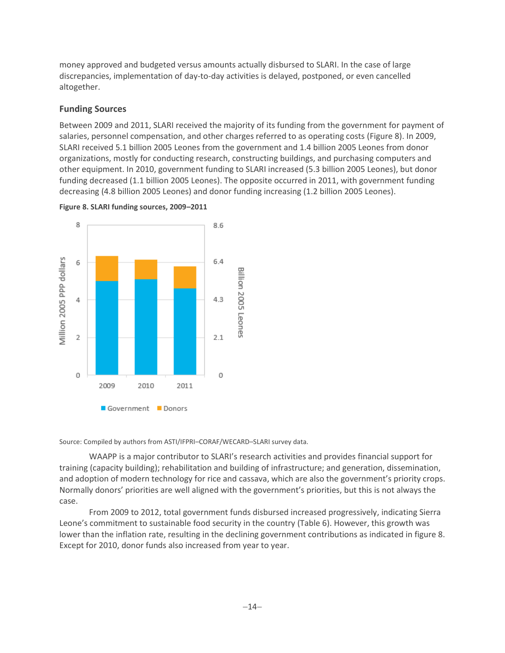money approved and budgeted versus amounts actually disbursed to SLARI. In the case of large discrepancies, implementation of day-to-day activities is delayed, postponed, or even cancelled altogether.

### <span id="page-17-0"></span>**Funding Sources**

Between 2009 and 2011, SLARI received the majority of its funding from the government for payment of salaries, personnel compensation, and other charges referred to as operating costs (Figure 8). In 2009, SLARI received 5.1 billion 2005 Leones from the government and 1.4 billion 2005 Leones from donor organizations, mostly for conducting research, constructing buildings, and purchasing computers and other equipment. In 2010, government funding to SLARI increased (5.3 billion 2005 Leones), but donor funding decreased (1.1 billion 2005 Leones). The opposite occurred in 2011, with government funding decreasing (4.8 billion 2005 Leones) and donor funding increasing (1.2 billion 2005 Leones).



<span id="page-17-1"></span>

Source: Compiled by authors from ASTI/IFPRI–CORAF/WECARD–SLARI survey data.

WAAPP is a major contributor to SLARI's research activities and provides financial support for training (capacity building); rehabilitation and building of infrastructure; and generation, dissemination, and adoption of modern technology for rice and cassava, which are also the government's priority crops. Normally donors' priorities are well aligned with the government's priorities, but this is not always the case.

From 2009 to 2012, total government funds disbursed increased progressively, indicating Sierra Leone's commitment to sustainable food security in the country (Table 6). However, this growth was lower than the inflation rate, resulting in the declining government contributions as indicated in figure 8. Except for 2010, donor funds also increased from year to year.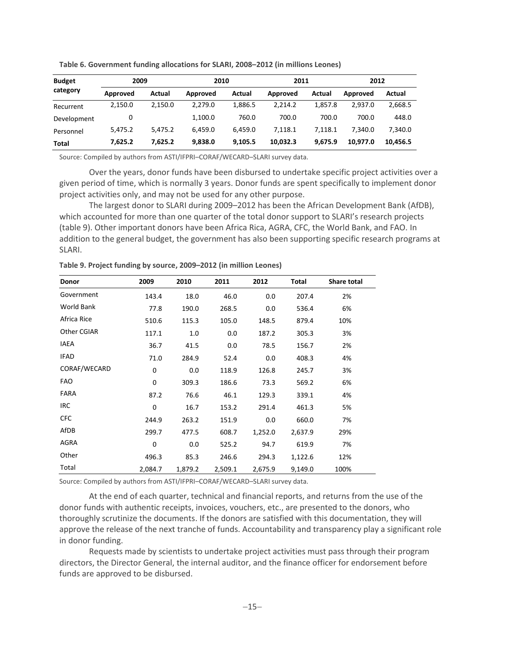| <b>Budget</b> |          | 2009    |          | 2010    |          | 2011    |          | 2012     |  |
|---------------|----------|---------|----------|---------|----------|---------|----------|----------|--|
| category      | Approved | Actual  | Approved | Actual  | Approved | Actual  | Approved | Actual   |  |
| Recurrent     | 2,150.0  | 2.150.0 | 2.279.0  | 1.886.5 | 2.214.2  | 1.857.8 | 2.937.0  | 2,668.5  |  |
| Development   | 0        |         | 1.100.0  | 760.0   | 700.0    | 700.0   | 700.0    | 448.0    |  |
| Personnel     | 5.475.2  | 5.475.2 | 6.459.0  | 6.459.0 | 7.118.1  | 7.118.1 | 7.340.0  | 7.340.0  |  |
| Total         | 7.625.2  | 7.625.2 | 9,838.0  | 9.105.5 | 10,032.3 | 9.675.9 | 10.977.0 | 10.456.5 |  |

<span id="page-18-0"></span>**Table 6. Government funding allocations for SLARI, 2008–2012 (in millions Leones)**

Source: Compiled by authors from ASTI/IFPRI–CORAF/WECARD–SLARI survey data.

Over the years, donor funds have been disbursed to undertake specific project activities over a given period of time, which is normally 3 years. Donor funds are spent specifically to implement donor project activities only, and may not be used for any other purpose.

The largest donor to SLARI during 2009–2012 has been the African Development Bank (AfDB), which accounted for more than one quarter of the total donor support to SLARI's research projects (table 9). Other important donors have been Africa Rica, AGRA, CFC, the World Bank, and FAO. In addition to the general budget, the government has also been supporting specific research programs at SLARI.

| <b>Donor</b>      | 2009        | 2010    | 2011    | 2012    | Total   | <b>Share total</b> |
|-------------------|-------------|---------|---------|---------|---------|--------------------|
| Government        | 143.4       | 18.0    | 46.0    | 0.0     | 207.4   | 2%                 |
| <b>World Bank</b> | 77.8        | 190.0   | 268.5   | 0.0     | 536.4   | 6%                 |
| Africa Rice       | 510.6       | 115.3   | 105.0   | 148.5   | 879.4   | 10%                |
| Other CGIAR       | 117.1       | 1.0     | 0.0     | 187.2   | 305.3   | 3%                 |
| IAEA              | 36.7        | 41.5    | 0.0     | 78.5    | 156.7   | 2%                 |
| <b>IFAD</b>       | 71.0        | 284.9   | 52.4    | 0.0     | 408.3   | 4%                 |
| CORAF/WECARD      | $\mathbf 0$ | 0.0     | 118.9   | 126.8   | 245.7   | 3%                 |
| <b>FAO</b>        | $\mathbf 0$ | 309.3   | 186.6   | 73.3    | 569.2   | 6%                 |
| FARA              | 87.2        | 76.6    | 46.1    | 129.3   | 339.1   | 4%                 |
| <b>IRC</b>        | $\mathbf 0$ | 16.7    | 153.2   | 291.4   | 461.3   | 5%                 |
| <b>CFC</b>        | 244.9       | 263.2   | 151.9   | 0.0     | 660.0   | 7%                 |
| AfDB              | 299.7       | 477.5   | 608.7   | 1,252.0 | 2,637.9 | 29%                |
| AGRA              | 0           | 0.0     | 525.2   | 94.7    | 619.9   | 7%                 |
| Other             | 496.3       | 85.3    | 246.6   | 294.3   | 1,122.6 | 12%                |
| Total             | 2,084.7     | 1,879.2 | 2,509.1 | 2,675.9 | 9,149.0 | 100%               |

<span id="page-18-1"></span>**Table 9. Project funding by source, 2009–2012 (in million Leones)**

Source: Compiled by authors from ASTI/IFPRI–CORAF/WECARD–SLARI survey data.

At the end of each quarter, technical and financial reports, and returns from the use of the donor funds with authentic receipts, invoices, vouchers, etc., are presented to the donors, who thoroughly scrutinize the documents. If the donors are satisfied with this documentation, they will approve the release of the next tranche of funds. Accountability and transparency play a significant role in donor funding.

Requests made by scientists to undertake project activities must pass through their program directors, the Director General, the internal auditor, and the finance officer for endorsement before funds are approved to be disbursed.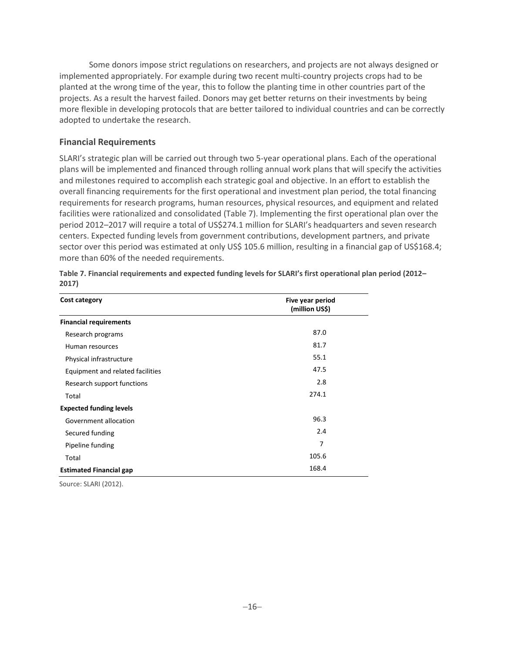Some donors impose strict regulations on researchers, and projects are not always designed or implemented appropriately. For example during two recent multi-country projects crops had to be planted at the wrong time of the year, this to follow the planting time in other countries part of the projects. As a result the harvest failed. Donors may get better returns on their investments by being more flexible in developing protocols that are better tailored to individual countries and can be correctly adopted to undertake the research.

### <span id="page-19-0"></span>**Financial Requirements**

SLARI's strategic plan will be carried out through two 5-year operational plans. Each of the operational plans will be implemented and financed through rolling annual work plans that will specify the activities and milestones required to accomplish each strategic goal and objective. In an effort to establish the overall financing requirements for the first operational and investment plan period, the total financing requirements for research programs, human resources, physical resources, and equipment and related facilities were rationalized and consolidated (Table 7). Implementing the first operational plan over the period 2012–2017 will require a total of US\$274.1 million for SLARI's headquarters and seven research centers. Expected funding levels from government contributions, development partners, and private sector over this period was estimated at only US\$ 105.6 million, resulting in a financial gap of US\$168.4; more than 60% of the needed requirements.

| Cost category                    | Five year period<br>(million US\$) |
|----------------------------------|------------------------------------|
| <b>Financial requirements</b>    |                                    |
| Research programs                | 87.0                               |
| Human resources                  | 81.7                               |
| Physical infrastructure          | 55.1                               |
| Equipment and related facilities | 47.5                               |
| Research support functions       | 2.8                                |
| Total                            | 274.1                              |
| <b>Expected funding levels</b>   |                                    |
| Government allocation            | 96.3                               |
| Secured funding                  | 2.4                                |
| Pipeline funding                 | 7                                  |
| Total                            | 105.6                              |
| <b>Estimated Financial gap</b>   | 168.4                              |

<span id="page-19-2"></span>**Table 7. Financial requirements and expected funding levels for SLARI's first operational plan period (2012– 2017)**

<span id="page-19-1"></span>Source: SLARI (2012).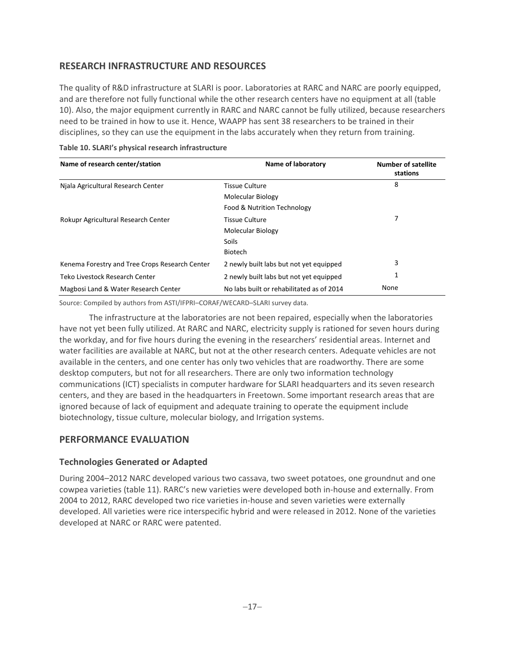# **RESEARCH INFRASTRUCTURE AND RESOURCES**

The quality of R&D infrastructure at SLARI is poor. Laboratories at RARC and NARC are poorly equipped, and are therefore not fully functional while the other research centers have no equipment at all (table 10). Also, the major equipment currently in RARC and NARC cannot be fully utilized, because researchers need to be trained in how to use it. Hence, WAAPP has sent 38 researchers to be trained in their disciplines, so they can use the equipment in the labs accurately when they return from training.

| Name of research center/station                | Name of laboratory                        | <b>Number of satellite</b><br>stations |
|------------------------------------------------|-------------------------------------------|----------------------------------------|
| Niala Agricultural Research Center             | <b>Tissue Culture</b>                     | 8                                      |
|                                                | Molecular Biology                         |                                        |
|                                                | Food & Nutrition Technology               |                                        |
| Rokupr Agricultural Research Center            | <b>Tissue Culture</b>                     |                                        |
|                                                | Molecular Biology                         |                                        |
|                                                | <b>Soils</b>                              |                                        |
|                                                | <b>Biotech</b>                            |                                        |
| Kenema Forestry and Tree Crops Research Center | 2 newly built labs but not yet equipped   | 3                                      |
| Teko Livestock Research Center                 | 2 newly built labs but not yet equipped   |                                        |
| Magbosi Land & Water Research Center           | No labs built or rehabilitated as of 2014 | None                                   |

#### <span id="page-20-2"></span>**Table 10. SLARI's physical research infrastructure**

Source: Compiled by authors from ASTI/IFPRI–CORAF/WECARD–SLARI survey data.

The infrastructure at the laboratories are not been repaired, especially when the laboratories have not yet been fully utilized. At RARC and NARC, electricity supply is rationed for seven hours during the workday, and for five hours during the evening in the researchers' residential areas. Internet and water facilities are available at NARC, but not at the other research centers. Adequate vehicles are not available in the centers, and one center has only two vehicles that are roadworthy. There are some desktop computers, but not for all researchers. There are only two information technology communications (ICT) specialists in computer hardware for SLARI headquarters and its seven research centers, and they are based in the headquarters in Freetown. Some important research areas that are ignored because of lack of equipment and adequate training to operate the equipment include biotechnology, tissue culture, molecular biology, and Irrigation systems.

### <span id="page-20-0"></span>**PERFORMANCE EVALUATION**

### <span id="page-20-1"></span>**Technologies Generated or Adapted**

<span id="page-20-3"></span>During 2004–2012 NARC developed various two cassava, two sweet potatoes, one groundnut and one cowpea varieties (table 11). RARC's new varieties were developed both in-house and externally. From 2004 to 2012, RARC developed two rice varieties in-house and seven varieties were externally developed. All varieties were rice interspecific hybrid and were released in 2012. None of the varieties developed at NARC or RARC were patented.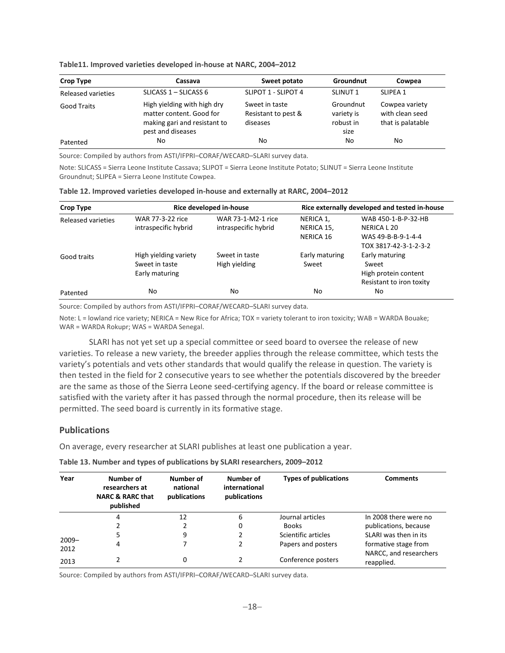| Crop Type          | Cassava                                                                                                      | Sweet potato                                      | Groundnut                                    | Cowpea                                                 |
|--------------------|--------------------------------------------------------------------------------------------------------------|---------------------------------------------------|----------------------------------------------|--------------------------------------------------------|
| Released varieties | SLICASS $1 -$ SLICASS 6                                                                                      | SLIPOT 1 - SLIPOT 4                               | SLINUT <sub>1</sub>                          | SLIPEA <sub>1</sub>                                    |
| <b>Good Traits</b> | High yielding with high dry<br>matter content. Good for<br>making gari and resistant to<br>pest and diseases | Sweet in taste<br>Resistant to pest &<br>diseases | Groundnut<br>variety is<br>robust in<br>size | Cowpea variety<br>with clean seed<br>that is palatable |
| Patented           | No                                                                                                           | No                                                | No                                           | No                                                     |

**Table11. Improved varieties developed in-house at NARC, 2004–2012**

Source: Compiled by authors from ASTI/IFPRI–CORAF/WECARD–SLARI survey data.

Note: SLICASS = Sierra Leone Institute Cassava; SLIPOT = Sierra Leone Institute Potato; SLINUT = Sierra Leone Institute Groundnut; SLIPEA = Sierra Leone Institute Cowpea.

| Crop Type          | Rice developed in-house                                   |                                            | Rice externally developed and tested in-house |                                                                                   |
|--------------------|-----------------------------------------------------------|--------------------------------------------|-----------------------------------------------|-----------------------------------------------------------------------------------|
| Released varieties | WAR 77-3-22 rice<br>intraspecific hybrid                  | WAR 73-1-M2-1 rice<br>intraspecific hybrid | NERICA 1,<br>NERICA 15,<br>NERICA 16          | WAB 450-1-B-P-32-HB<br>NERICA L 20<br>WAS 49-B-B-9-1-4-4<br>TOX 3817-42-3-1-2-3-2 |
| Good traits        | High yielding variety<br>Sweet in taste<br>Early maturing | Sweet in taste<br>High yielding            | Early maturing<br>Sweet                       | Early maturing<br>Sweet<br>High protein content<br>Resistant to iron toxity       |
| Patented           | No                                                        | No                                         | No                                            | No                                                                                |

<span id="page-21-2"></span>

|  |  | Table 12. Improved varieties developed in-house and externally at RARC, 2004-2012 |
|--|--|-----------------------------------------------------------------------------------|
|--|--|-----------------------------------------------------------------------------------|

Source: Compiled by authors from ASTI/IFPRI–CORAF/WECARD–SLARI survey data.

Note: L = lowland rice variety; NERICA = New Rice for Africa; TOX = variety tolerant to iron toxicity; WAB = WARDA Bouake; WAR = WARDA Rokupr; WAS = WARDA Senegal.

SLARI has not yet set up a special committee or seed board to oversee the release of new varieties. To release a new variety, the breeder applies through the release committee, which tests the variety's potentials and vets other standards that would qualify the release in question. The variety is then tested in the field for 2 consecutive years to see whether the potentials discovered by the breeder are the same as those of the Sierra Leone seed-certifying agency. If the board or release committee is satisfied with the variety after it has passed through the normal procedure, then its release will be permitted. The seed board is currently in its formative stage.

### <span id="page-21-0"></span>**Publications**

On average, every researcher at SLARI publishes at least one publication a year.

<span id="page-21-3"></span>

| Table 13. Number and types of publications by SLARI researchers, 2009-2012 |  |  |
|----------------------------------------------------------------------------|--|--|
|----------------------------------------------------------------------------|--|--|

| Year             | Number of<br>researchers at<br><b>NARC &amp; RARC that</b><br>published | Number of<br>national<br>publications | Number of<br>international<br>publications | <b>Types of publications</b> | <b>Comments</b>                                |
|------------------|-------------------------------------------------------------------------|---------------------------------------|--------------------------------------------|------------------------------|------------------------------------------------|
|                  | 4                                                                       | 12                                    | 6                                          | Journal articles             | In 2008 there were no                          |
|                  |                                                                         | 2                                     | 0                                          | <b>Books</b>                 | publications, because                          |
|                  | 5                                                                       | 9                                     |                                            | Scientific articles          | SLARI was then in its                          |
| $2009 -$<br>2012 | 4                                                                       |                                       | 2                                          | Papers and posters           | formative stage from<br>NARCC, and researchers |
| 2013             |                                                                         | 0                                     |                                            | Conference posters           | reapplied.                                     |

<span id="page-21-1"></span>Source: Compiled by authors from ASTI/IFPRI–CORAF/WECARD–SLARI survey data.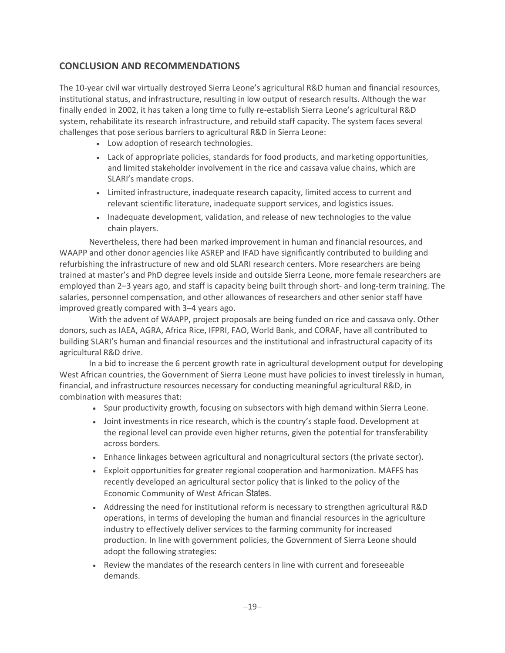# **CONCLUSION AND RECOMMENDATIONS**

The 10-year civil war virtually destroyed Sierra Leone's agricultural R&D human and financial resources, institutional status, and infrastructure, resulting in low output of research results. Although the war finally ended in 2002, it has taken a long time to fully re-establish Sierra Leone's agricultural R&D system, rehabilitate its research infrastructure, and rebuild staff capacity. The system faces several challenges that pose serious barriers to agricultural R&D in Sierra Leone:

- Low adoption of research technologies.
- Lack of appropriate policies, standards for food products, and marketing opportunities, and limited stakeholder involvement in the rice and cassava value chains, which are SLARI's mandate crops.
- Limited infrastructure, inadequate research capacity, limited access to current and relevant scientific literature, inadequate support services, and logistics issues.
- Inadequate development, validation, and release of new technologies to the value chain players.

Nevertheless, there had been marked improvement in human and financial resources, and WAAPP and other donor agencies like ASREP and IFAD have significantly contributed to building and refurbishing the infrastructure of new and old SLARI research centers. More researchers are being trained at master's and PhD degree levels inside and outside Sierra Leone, more female researchers are employed than 2–3 years ago, and staff is capacity being built through short- and long-term training. The salaries, personnel compensation, and other allowances of researchers and other senior staff have improved greatly compared with 3–4 years ago.

With the advent of WAAPP, project proposals are being funded on rice and cassava only. Other donors, such as IAEA, AGRA, Africa Rice, IFPRI, FAO, World Bank, and CORAF, have all contributed to building SLARI's human and financial resources and the institutional and infrastructural capacity of its agricultural R&D drive.

In a bid to increase the 6 percent growth rate in agricultural development output for developing West African countries, the Government of Sierra Leone must have policies to invest tirelessly in human, financial, and infrastructure resources necessary for conducting meaningful agricultural R&D, in combination with measures that:

- Spur productivity growth, focusing on subsectors with high demand within Sierra Leone.
- Joint investments in rice research, which is the country's staple food. Development at the regional level can provide even higher returns, given the potential for transferability across borders.
- Enhance linkages between agricultural and nonagricultural sectors (the private sector).
- Exploit opportunities for greater regional cooperation and harmonization. MAFFS has recently developed an agricultural sector policy that is linked to the policy of the Economic Community of West African States.
- Addressing the need for institutional reform is necessary to strengthen agricultural R&D operations, in terms of developing the human and financial resources in the agriculture industry to effectively deliver services to the farming community for increased production. In line with government policies, the Government of Sierra Leone should adopt the following strategies:
- Review the mandates of the research centers in line with current and foreseeable demands.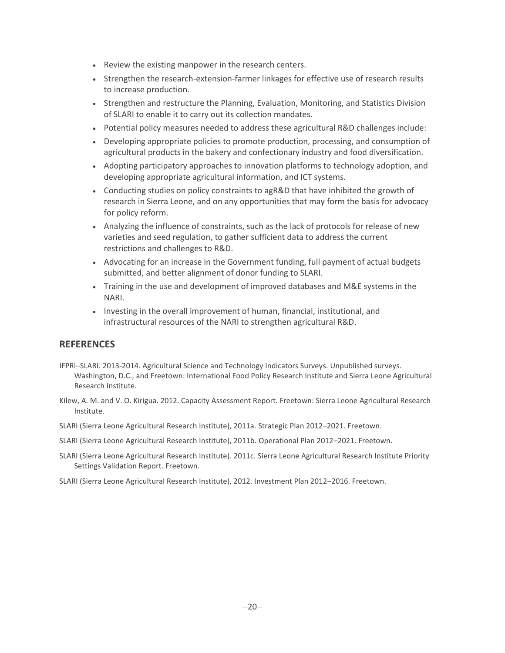- Review the existing manpower in the research centers.
- Strengthen the research-extension-farmer linkages for effective use of research results to increase production.
- Strengthen and restructure the Planning, Evaluation, Monitoring, and Statistics Division of SLARI to enable it to carry out its collection mandates.
- Potential policy measures needed to address these agricultural R&D challenges include:
- Developing appropriate policies to promote production, processing, and consumption of agricultural products in the bakery and confectionary industry and food diversification.
- Adopting participatory approaches to innovation platforms to technology adoption, and developing appropriate agricultural information, and ICT systems.
- Conducting studies on policy constraints to agR&D that have inhibited the growth of research in Sierra Leone, and on any opportunities that may form the basis for advocacy for policy reform.
- Analyzing the influence of constraints, such as the lack of protocols for release of new varieties and seed regulation, to gather sufficient data to address the current restrictions and challenges to R&D.
- Advocating for an increase in the Government funding, full payment of actual budgets submitted, and better alignment of donor funding to SLARI.
- Training in the use and development of improved databases and M&E systems in the NARI.
- Investing in the overall improvement of human, financial, institutional, and infrastructural resources of the NARI to strengthen agricultural R&D.

### <span id="page-23-0"></span>**REFERENCES**

- IFPRI–SLARI. 2013-2014. Agricultural Science and Technology Indicators Surveys. Unpublished surveys. Washington, D.C., and Freetown: International Food Policy Research Institute and Sierra Leone Agricultural Research Institute.
- Kilew, A. M. and V. O. Kirigua. 2012. Capacity Assessment Report. Freetown: Sierra Leone Agricultural Research Institute.
- SLARI (Sierra Leone Agricultural Research Institute), 2011a. Strategic Plan 2012–2021. Freetown.
- SLARI (Sierra Leone Agricultural Research Institute), 2011b. Operational Plan 2012–2021. Freetown.
- SLARI (Sierra Leone Agricultural Research Institute). 2011c. Sierra Leone Agricultural Research Institute Priority Settings Validation Report. Freetown.
- SLARI (Sierra Leone Agricultural Research Institute), 2012. Investment Plan 2012–2016. Freetown.